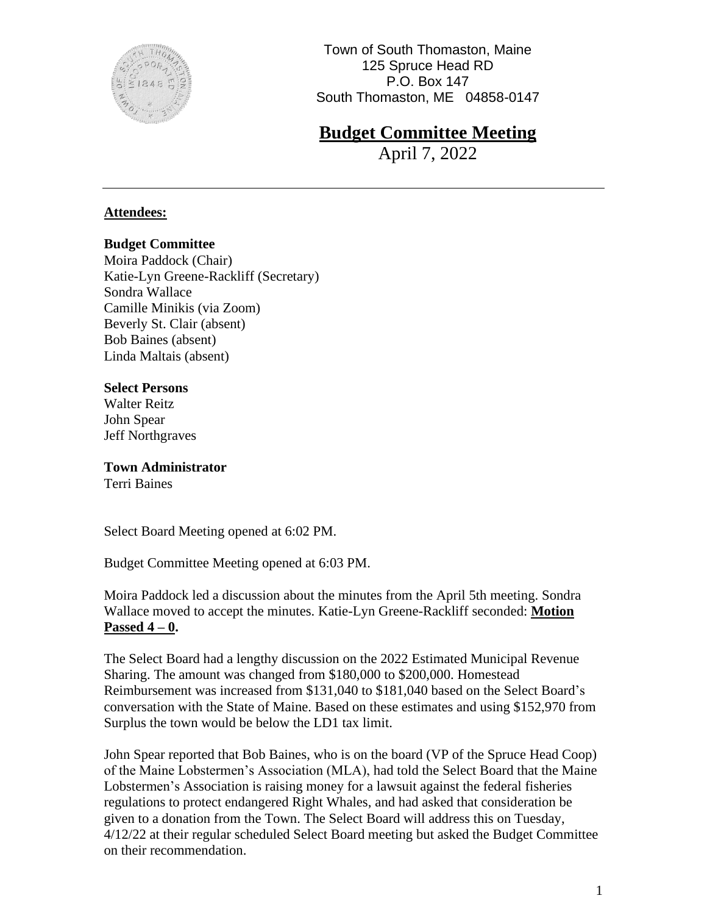

# **Budget Committee Meeting**

April 7, 2022

#### **Attendees:**

#### **Budget Committee**

Moira Paddock (Chair) Katie-Lyn Greene-Rackliff (Secretary) Sondra Wallace Camille Minikis (via Zoom) Beverly St. Clair (absent) Bob Baines (absent) Linda Maltais (absent)

#### **Select Persons**

Walter Reitz John Spear Jeff Northgraves

**Town Administrator** Terri Baines

Select Board Meeting opened at 6:02 PM.

Budget Committee Meeting opened at 6:03 PM.

Moira Paddock led a discussion about the minutes from the April 5th meeting. Sondra Wallace moved to accept the minutes. Katie-Lyn Greene-Rackliff seconded: **Motion Passed 4 – 0.**

The Select Board had a lengthy discussion on the 2022 Estimated Municipal Revenue Sharing. The amount was changed from \$180,000 to \$200,000. Homestead Reimbursement was increased from \$131,040 to \$181,040 based on the Select Board's conversation with the State of Maine. Based on these estimates and using \$152,970 from Surplus the town would be below the LD1 tax limit.

John Spear reported that Bob Baines, who is on the board (VP of the Spruce Head Coop) of the Maine Lobstermen's Association (MLA), had told the Select Board that the Maine Lobstermen's Association is raising money for a lawsuit against the federal fisheries regulations to protect endangered Right Whales, and had asked that consideration be given to a donation from the Town. The Select Board will address this on Tuesday, 4/12/22 at their regular scheduled Select Board meeting but asked the Budget Committee on their recommendation.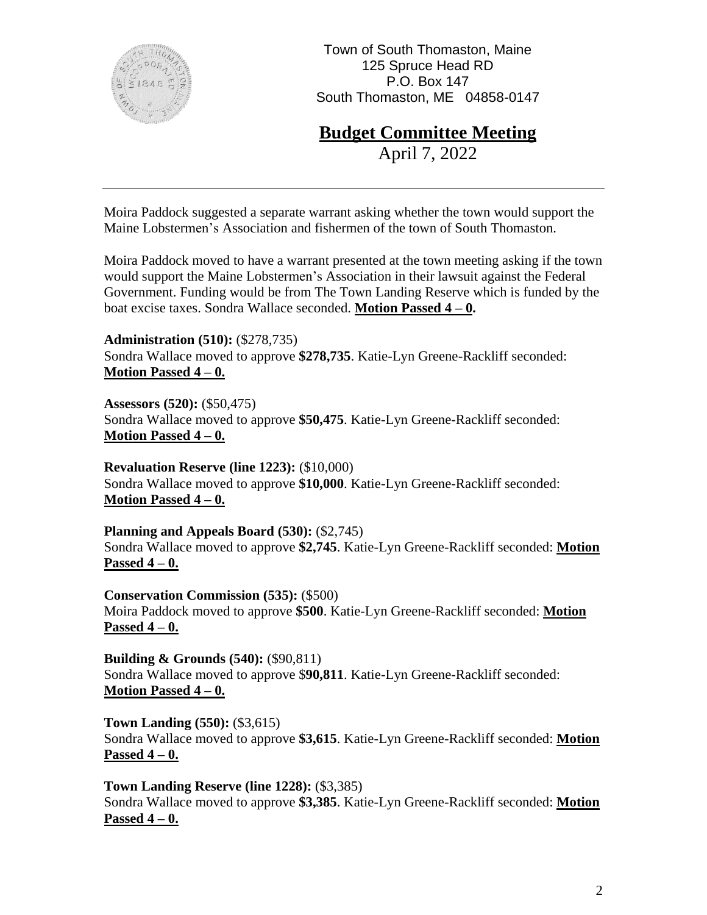

## **Budget Committee Meeting**

April 7, 2022

Moira Paddock suggested a separate warrant asking whether the town would support the Maine Lobstermen's Association and fishermen of the town of South Thomaston.

Moira Paddock moved to have a warrant presented at the town meeting asking if the town would support the Maine Lobstermen's Association in their lawsuit against the Federal Government. Funding would be from The Town Landing Reserve which is funded by the boat excise taxes. Sondra Wallace seconded. **Motion Passed 4 – 0.**

**Administration (510):** (\$278,735) Sondra Wallace moved to approve **\$278,735**. Katie-Lyn Greene-Rackliff seconded: **Motion Passed 4 – 0.**

**Assessors (520):** (\$50,475) Sondra Wallace moved to approve **\$50,475**. Katie-Lyn Greene-Rackliff seconded: **Motion Passed 4 – 0.**

**Revaluation Reserve (line 1223):** (\$10,000) Sondra Wallace moved to approve **\$10,000**. Katie-Lyn Greene-Rackliff seconded: **Motion Passed 4 – 0.**

**Planning and Appeals Board (530):** (\$2,745) Sondra Wallace moved to approve **\$2,745**. Katie-Lyn Greene-Rackliff seconded: **Motion Passed 4 – 0.**

**Conservation Commission (535):** (\$500) Moira Paddock moved to approve **\$500**. Katie-Lyn Greene-Rackliff seconded: **Motion Passed 4 – 0.**

**Building & Grounds (540):** (\$90,811) Sondra Wallace moved to approve \$**90,811**. Katie-Lyn Greene-Rackliff seconded: **Motion Passed 4 – 0.**

**Town Landing (550):** (\$3,615) Sondra Wallace moved to approve **\$3,615**. Katie-Lyn Greene-Rackliff seconded: **Motion Passed 4 – 0.**

**Town Landing Reserve (line 1228):** (\$3,385) Sondra Wallace moved to approve **\$3,385**. Katie-Lyn Greene-Rackliff seconded: **Motion Passed 4 – 0.**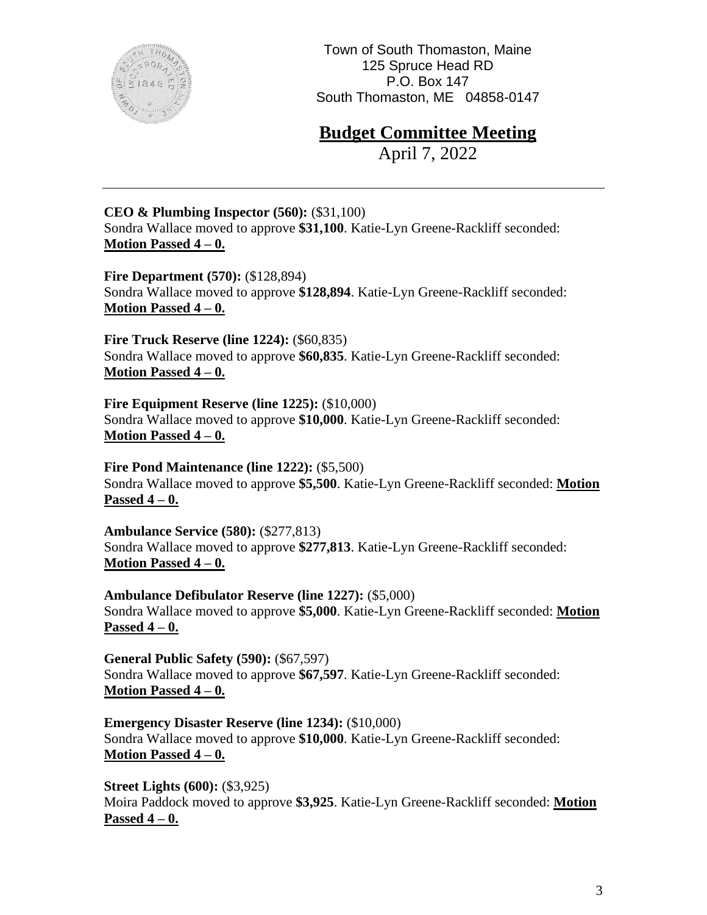

### **Budget Committee Meeting**

April 7, 2022

#### **CEO & Plumbing Inspector (560):** (\$31,100)

Sondra Wallace moved to approve **\$31,100**. Katie-Lyn Greene-Rackliff seconded: **Motion Passed 4 – 0.**

**Fire Department (570): (\$128,894)** Sondra Wallace moved to approve **\$128,894**. Katie-Lyn Greene-Rackliff seconded: **Motion Passed 4 – 0.**

**Fire Truck Reserve (line 1224):** (\$60,835) Sondra Wallace moved to approve **\$60,835**. Katie-Lyn Greene-Rackliff seconded: **Motion Passed 4 – 0.**

**Fire Equipment Reserve (line 1225):** (\$10,000) Sondra Wallace moved to approve **\$10,000**. Katie-Lyn Greene-Rackliff seconded: **Motion Passed 4 – 0.**

**Fire Pond Maintenance (line 1222):** (\$5,500) Sondra Wallace moved to approve **\$5,500**. Katie-Lyn Greene-Rackliff seconded: **Motion Passed 4 – 0.** 

**Ambulance Service (580):** (\$277,813) Sondra Wallace moved to approve **\$277,813**. Katie-Lyn Greene-Rackliff seconded: **Motion Passed 4 – 0.**

**Ambulance Defibulator Reserve (line 1227):** (\$5,000) Sondra Wallace moved to approve **\$5,000**. Katie-Lyn Greene-Rackliff seconded: **Motion Passed 4 – 0.**

**General Public Safety (590):** (\$67,597) Sondra Wallace moved to approve **\$67,597**. Katie-Lyn Greene-Rackliff seconded: **Motion Passed 4 – 0.**

**Emergency Disaster Reserve (line 1234):** (\$10,000) Sondra Wallace moved to approve **\$10,000**. Katie-Lyn Greene-Rackliff seconded: **Motion Passed 4 – 0.**

**Street Lights (600): (\$3,925)** Moira Paddock moved to approve **\$3,925**. Katie-Lyn Greene-Rackliff seconded: **Motion Passed 4 – 0.**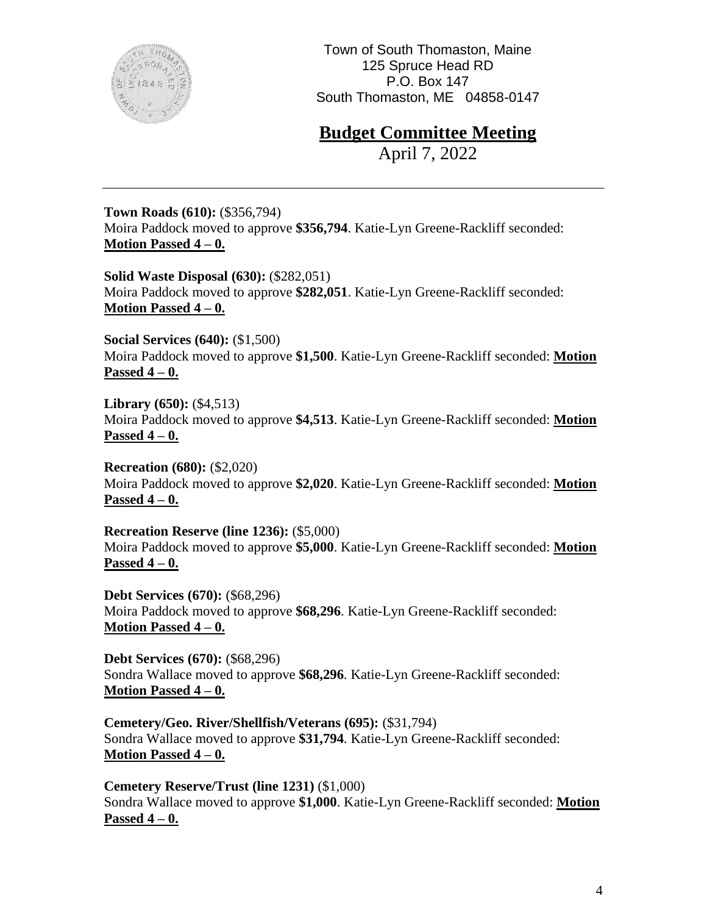

### **Budget Committee Meeting**

April 7, 2022

**Town Roads (610):** (\$356,794) Moira Paddock moved to approve **\$356,794**. Katie-Lyn Greene-Rackliff seconded: **Motion Passed 4 – 0.**

**Solid Waste Disposal (630):** (\$282,051) Moira Paddock moved to approve **\$282,051**. Katie-Lyn Greene-Rackliff seconded: **Motion Passed 4 – 0.**

**Social Services (640):** (\$1,500) Moira Paddock moved to approve **\$1,500**. Katie-Lyn Greene-Rackliff seconded: **Motion Passed 4 – 0.**

**Library (650):** (\$4,513) Moira Paddock moved to approve **\$4,513**. Katie-Lyn Greene-Rackliff seconded: **Motion Passed 4 – 0.**

**Recreation (680):** (\$2,020) Moira Paddock moved to approve **\$2,020**. Katie-Lyn Greene-Rackliff seconded: **Motion Passed 4 – 0.**

**Recreation Reserve (line 1236):** (\$5,000) Moira Paddock moved to approve **\$5,000**. Katie-Lyn Greene-Rackliff seconded: **Motion Passed 4 – 0.**

**Debt Services (670):** (\$68,296) Moira Paddock moved to approve **\$68,296**. Katie-Lyn Greene-Rackliff seconded: **Motion Passed 4 – 0.**

**Debt Services (670):** (\$68,296) Sondra Wallace moved to approve **\$68,296**. Katie-Lyn Greene-Rackliff seconded: **Motion Passed 4 – 0.**

**Cemetery/Geo. River/Shellfish/Veterans (695):** (\$31,794) Sondra Wallace moved to approve **\$31,794**. Katie-Lyn Greene-Rackliff seconded: **Motion Passed 4 – 0.**

**Cemetery Reserve/Trust (line 1231)** (\$1,000) Sondra Wallace moved to approve **\$1,000**. Katie-Lyn Greene-Rackliff seconded: **Motion Passed 4 – 0.**